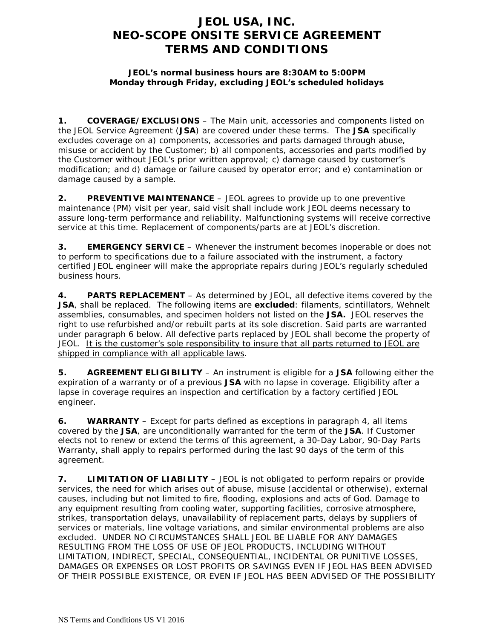## **JEOL USA, INC. NEO-SCOPE ONSITE SERVICE AGREEMENT TERMS AND CONDITIONS**

## **JEOL's normal business hours are 8:30AM to 5:00PM Monday through Friday, excluding JEOL's scheduled holidays**

**1. COVERAGE/EXCLUSIONS** – The Main unit, accessories and components listed on the JEOL Service Agreement (**JSA**) are covered under these terms. The **JSA** specifically excludes coverage on a) components, accessories and parts damaged through abuse, misuse or accident by the Customer; b) all components, accessories and parts modified by the Customer without JEOL's prior written approval; c) damage caused by customer's modification; and d) damage or failure caused by operator error; and e) contamination or damage caused by a sample.

**2. PREVENTIVE MAINTENANCE** – JEOL agrees to provide up to one preventive maintenance (PM) visit per year, said visit shall include work JEOL deems necessary to assure long-term performance and reliability. Malfunctioning systems will receive corrective service at this time. Replacement of components/parts are at JEOL's discretion.

**3. EMERGENCY SERVICE** – Whenever the instrument becomes inoperable or does not to perform to specifications due to a failure associated with the instrument, a factory certified JEOL engineer will make the appropriate repairs during JEOL's regularly scheduled business hours.

**4. PARTS REPLACEMENT** – As determined by JEOL, all defective items covered by the **JSA**, shall be replaced. The following items are **excluded**: filaments, scintillators, Wehnelt assemblies, consumables, and specimen holders not listed on the **JSA.** JEOL reserves the right to use refurbished and/or rebuilt parts at its sole discretion. Said parts are warranted under paragraph 6 below. All defective parts replaced by JEOL shall become the property of JEOL. It is the customer's sole responsibility to insure that all parts returned to JEOL are shipped in compliance with all applicable laws.

**5. AGREEMENT ELIGIBILITY** – An instrument is eligible for a **JSA** following either the expiration of a warranty or of a previous **JSA** with no lapse in coverage. Eligibility after a lapse in coverage requires an inspection and certification by a factory certified JEOL engineer.

**6. WARRANTY** – Except for parts defined as exceptions in paragraph 4, all items covered by the **JSA**, are unconditionally warranted for the term of the **JSA**. If Customer elects not to renew or extend the terms of this agreement, a 30-Day Labor, 90-Day Parts Warranty, shall apply to repairs performed during the last 90 days of the term of this agreement.

**7. LIMITATION OF LIABILITY** – JEOL is not obligated to perform repairs or provide services, the need for which arises out of abuse, misuse (accidental or otherwise), external causes, including but not limited to fire, flooding, explosions and acts of God. Damage to any equipment resulting from cooling water, supporting facilities, corrosive atmosphere, strikes, transportation delays, unavailability of replacement parts, delays by suppliers of services or materials, line voltage variations, and similar environmental problems are also excluded. UNDER NO CIRCUMSTANCES SHALL JEOL BE LIABLE FOR ANY DAMAGES RESULTING FROM THE LOSS OF USE OF JEOL PRODUCTS, INCLUDING WITHOUT LIMITATION, INDIRECT, SPECIAL, CONSEQUENTIAL, INCIDENTAL OR PUNITIVE LOSSES, DAMAGES OR EXPENSES OR LOST PROFITS OR SAVINGS EVEN IF JEOL HAS BEEN ADVISED OF THEIR POSSIBLE EXISTENCE, OR EVEN IF JEOL HAS BEEN ADVISED OF THE POSSIBILITY